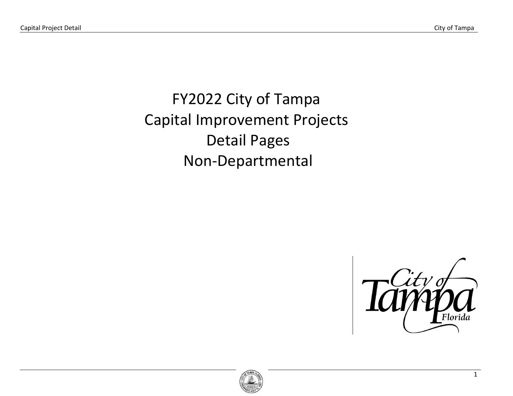FY2022 City of Tampa Capital Improvement Projects Detail Pages Non-Departmental



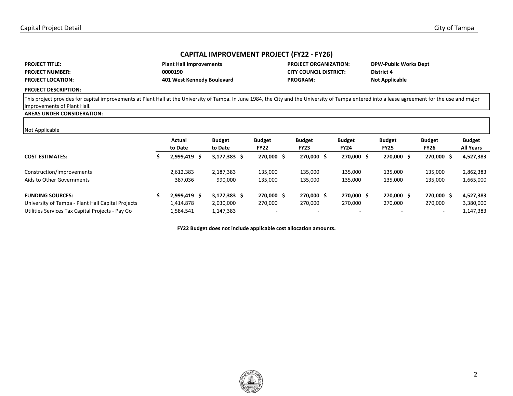# **CAPITAL IMPROVEMENT PROJECT (FY22 - FY26)**

| <b>PROJECT TITLE:</b>    | <b>Plant Hall Improvements</b> | <b>PROJECT ORGANIZATION:</b>  | <b>DPW-Public Works Dept</b> |
|--------------------------|--------------------------------|-------------------------------|------------------------------|
| <b>PROJECT NUMBER:</b>   | 0000190                        | <b>CITY COUNCIL DISTRICT:</b> | <b>District 4</b>            |
| <b>PROJECT LOCATION:</b> | 401 West Kennedy Boulevard     | <b>PROGRAM:</b>               | <b>Not Applicable</b>        |

#### **PROJECT DESCRIPTION:**

This project provides for capital improvements at Plant Hall at the University of Tampa. In June 1984, the City and the University of Tampa entered into a lease agreement for the use and major improvements of Plant Hall.

## **AREAS UNDER CONSIDERATION:**

### Not Applicable

|                                                   | Actual<br>to Date | <b>Budget</b><br>to Date | <b>Budget</b><br><b>FY22</b> | <b>Budget</b><br><b>FY23</b> | <b>Budget</b><br><b>FY24</b> | <b>Budget</b><br><b>FY25</b> | <b>Budget</b><br><b>FY26</b> | <b>Budget</b><br><b>All Years</b> |
|---------------------------------------------------|-------------------|--------------------------|------------------------------|------------------------------|------------------------------|------------------------------|------------------------------|-----------------------------------|
| <b>COST ESTIMATES:</b>                            | 2,999,419<br>S    | $3,177,383$ \$           | 270,000 \$                   | 270,000 \$                   | 270,000 \$                   | 270,000 \$                   | 270,000<br>-S                | 4,527,383                         |
| Construction/Improvements                         | 2,612,383         | 2,187,383                | 135,000                      | 135,000                      | 135,000                      | 135,000                      | 135,000                      | 2,862,383                         |
| Aids to Other Governments                         | 387,036           | 990,000                  | 135,000                      | 135,000                      | 135,000                      | 135,000                      | 135,000                      | 1,665,000                         |
| <b>FUNDING SOURCES:</b>                           | 2,999,419 \$      | $3,177,383$ \$           | 270,000 \$                   | 270,000 \$                   | 270,000 \$                   | 270,000 \$                   | 270,000 \$                   | 4,527,383                         |
| University of Tampa - Plant Hall Capital Projects | 1,414,878         | 2,030,000                | 270,000                      | 270,000                      | 270,000                      | 270,000                      | 270.000                      | 3,380,000                         |
| Utilities Services Tax Capital Projects - Pay Go  | 1,584,541         | l,147,383                |                              |                              | -                            |                              | $\overline{\phantom{0}}$     | 1,147,383                         |

**FY22 Budget does not include applicable cost allocation amounts.**